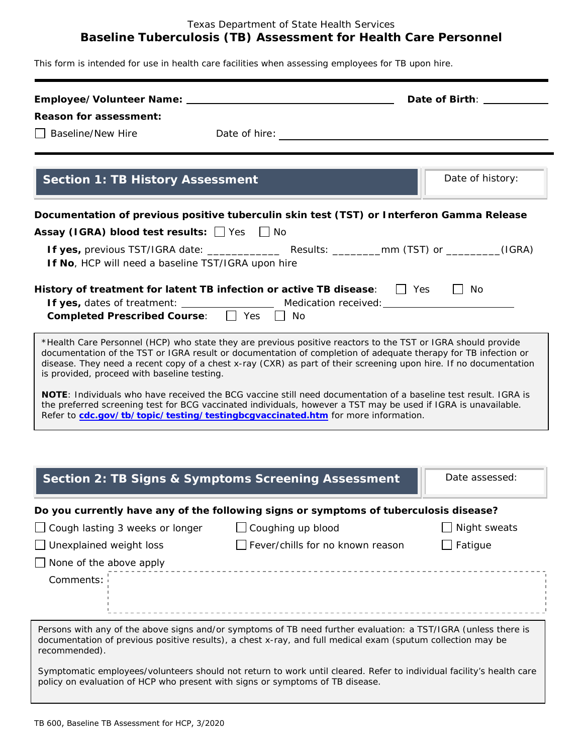### Texas Department of State Health Services **Baseline Tuberculosis (TB) Assessment for Health Care Personnel**

*This form is intended for use in health care facilities when assessing employees for TB upon hire.* 

| Employee/Volunteer Name: ______             | Date of Birth: ________                                                                                                                                                                                                                                                                                                                             |                  |
|---------------------------------------------|-----------------------------------------------------------------------------------------------------------------------------------------------------------------------------------------------------------------------------------------------------------------------------------------------------------------------------------------------------|------------------|
| <b>Reason for assessment:</b>               |                                                                                                                                                                                                                                                                                                                                                     |                  |
| Baseline/New Hire                           | Date of hire: and the state of the state of the state of the state of the state of the state of the state of the state of the state of the state of the state of the state of the state of the state of the state of the state                                                                                                                      |                  |
|                                             |                                                                                                                                                                                                                                                                                                                                                     |                  |
| <b>Section 1: TB History Assessment</b>     |                                                                                                                                                                                                                                                                                                                                                     | Date of history: |
|                                             | Documentation of previous positive tuberculin skin test (TST) or Interferon Gamma Release                                                                                                                                                                                                                                                           |                  |
| Assay (IGRA) blood test results: U Yes Mo   |                                                                                                                                                                                                                                                                                                                                                     |                  |
|                                             | If yes, previous TST/IGRA date: _______________ Results: ________mm (TST) or ________(IGRA)<br>If No, HCP will need a baseline TST/IGRA upon hire<br>History of treatment for latent TB infection or active TB disease: $\Box$ Yes                                                                                                                  | No.              |
| Completed Prescribed Course: 7 Yes          | $\Box$ No                                                                                                                                                                                                                                                                                                                                           |                  |
| is provided, proceed with baseline testing. | *Health Care Personnel (HCP) who state they are previous positive reactors to the TST or IGRA should provide<br>documentation of the TST or IGRA result or documentation of completion of adequate therapy for TB infection or<br>disease. They need a recent copy of a chest x-ray (CXR) as part of their screening upon hire. If no documentation |                  |
|                                             | <b>NOTE:</b> Individuals who have received the BCG vaccine still need documentation of a baseline test result. IGRA is<br>the preferred screening test for BCG vaccinated individuals, however a TST may be used if IGRA is unavailable.<br>Refer to cdc.gov/tb/topic/testing/testingbcgvaccinated.htm for more information.                        |                  |
|                                             |                                                                                                                                                                                                                                                                                                                                                     |                  |

| Section 2: TB Signs & Symptoms Screening Assessment                                                                                                                                                                                            | Date assessed:                   |                     |  |  |  |  |
|------------------------------------------------------------------------------------------------------------------------------------------------------------------------------------------------------------------------------------------------|----------------------------------|---------------------|--|--|--|--|
| Do you currently have any of the following signs or symptoms of tuberculosis disease?                                                                                                                                                          |                                  |                     |  |  |  |  |
| $\Box$ Cough lasting 3 weeks or longer                                                                                                                                                                                                         | $\Box$ Coughing up blood         | $\Box$ Night sweats |  |  |  |  |
| $\Box$ Unexplained weight loss                                                                                                                                                                                                                 | Fever/chills for no known reason | Fatigue             |  |  |  |  |
| $\Box$ None of the above apply                                                                                                                                                                                                                 |                                  |                     |  |  |  |  |
| Comments:                                                                                                                                                                                                                                      |                                  |                     |  |  |  |  |
| Persons with any of the above signs and/or symptoms of TB need further evaluation: a TST/IGRA (unless there is<br>documentation of previous positive results), a chest x-ray, and full medical exam (sputum collection may be<br>recommended). |                                  |                     |  |  |  |  |
| Symptomatic employees/volunteers should not return to work until cleared. Refer to individual facility's health care<br>policy on evaluation of HCP who present with signs or symptoms of TB disease.                                          |                                  |                     |  |  |  |  |

a i r